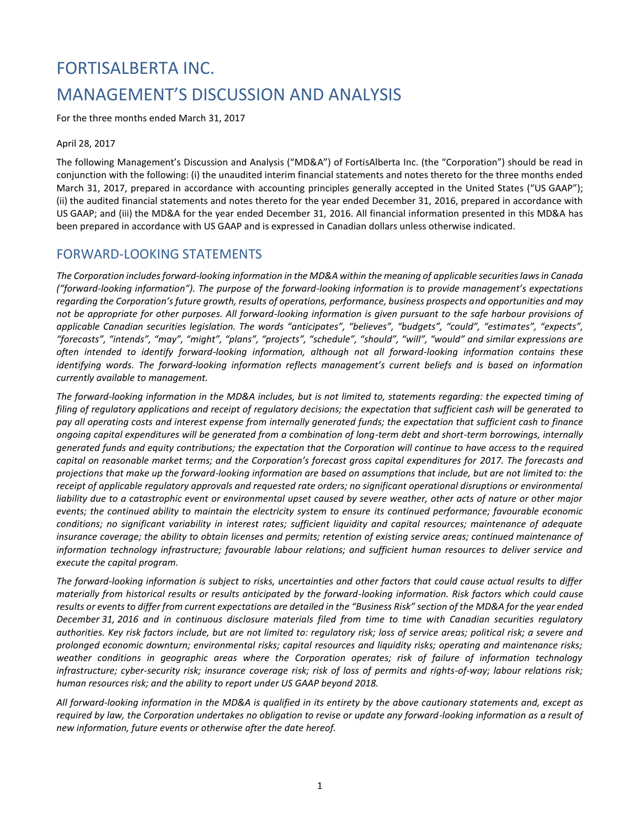# FORTISALBERTA INC. MANAGEMENT'S DISCUSSION AND ANALYSIS

For the three months ended March 31, 2017

#### April 28, 2017

The following Management's Discussion and Analysis ("MD&A") of FortisAlberta Inc. (the "Corporation") should be read in conjunction with the following: (i) the unaudited interim financial statements and notes thereto for the three months ended March 31, 2017, prepared in accordance with accounting principles generally accepted in the United States ("US GAAP"); (ii) the audited financial statements and notes thereto for the year ended December 31, 2016, prepared in accordance with US GAAP; and (iii) the MD&A for the year ended December 31, 2016. All financial information presented in this MD&A has been prepared in accordance with US GAAP and is expressed in Canadian dollars unless otherwise indicated.

### FORWARD-LOOKING STATEMENTS

*The Corporation includes forward-looking information in the MD&A within the meaning of applicable securities laws in Canada ("forward-looking information"). The purpose of the forward-looking information is to provide management's expectations regarding the Corporation's future growth, results of operations, performance, business prospects and opportunities and may not be appropriate for other purposes. All forward-looking information is given pursuant to the safe harbour provisions of applicable Canadian securities legislation. The words "anticipates", "believes", "budgets", "could", "estimates", "expects", "forecasts", "intends", "may", "might", "plans", "projects", "schedule", "should", "will", "would" and similar expressions are often intended to identify forward-looking information, although not all forward-looking information contains these identifying words. The forward-looking information reflects management's current beliefs and is based on information currently available to management.*

*The forward-looking information in the MD&A includes, but is not limited to, statements regarding: the expected timing of filing of regulatory applications and receipt of regulatory decisions; the expectation that sufficient cash will be generated to pay all operating costs and interest expense from internally generated funds; the expectation that sufficient cash to finance ongoing capital expenditures will be generated from a combination of long-term debt and short-term borrowings, internally generated funds and equity contributions; the expectation that the Corporation will continue to have access to the required capital on reasonable market terms; and the Corporation's forecast gross capital expenditures for 2017. The forecasts and projections that make up the forward-looking information are based on assumptions that include, but are not limited to: the receipt of applicable regulatory approvals and requested rate orders; no significant operational disruptions or environmental liability due to a catastrophic event or environmental upset caused by severe weather, other acts of nature or other major events; the continued ability to maintain the electricity system to ensure its continued performance; favourable economic conditions; no significant variability in interest rates; sufficient liquidity and capital resources; maintenance of adequate insurance coverage; the ability to obtain licenses and permits; retention of existing service areas; continued maintenance of information technology infrastructure; favourable labour relations; and sufficient human resources to deliver service and execute the capital program.* 

*The forward-looking information is subject to risks, uncertainties and other factors that could cause actual results to differ materially from historical results or results anticipated by the forward-looking information. Risk factors which could cause results or events to differ from current expectations are detailed in the "Business Risk" section of the MD&A for the year ended December 31, 2016 and in continuous disclosure materials filed from time to time with Canadian securities regulatory authorities. Key risk factors include, but are not limited to: regulatory risk; loss of service areas; political risk; a severe and prolonged economic downturn; environmental risks; capital resources and liquidity risks; operating and maintenance risks; weather conditions in geographic areas where the Corporation operates; risk of failure of information technology infrastructure; cyber-security risk; insurance coverage risk; risk of loss of permits and rights-of-way; labour relations risk; human resources risk; and the ability to report under US GAAP beyond 2018.*

*All forward-looking information in the MD&A is qualified in its entirety by the above cautionary statements and, except as required by law, the Corporation undertakes no obligation to revise or update any forward-looking information as a result of new information, future events or otherwise after the date hereof.*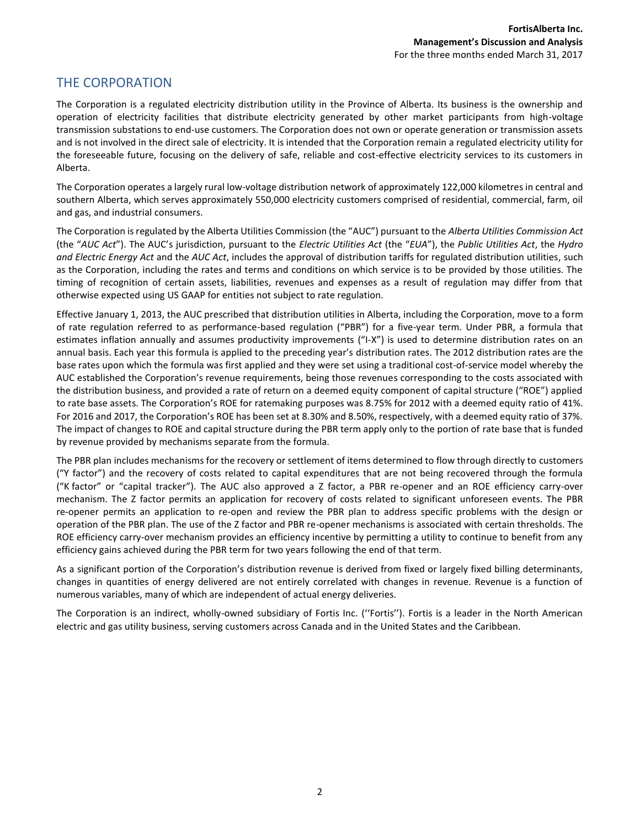### THE CORPORATION

The Corporation is a regulated electricity distribution utility in the Province of Alberta. Its business is the ownership and operation of electricity facilities that distribute electricity generated by other market participants from high-voltage transmission substations to end-use customers. The Corporation does not own or operate generation or transmission assets and is not involved in the direct sale of electricity. It is intended that the Corporation remain a regulated electricity utility for the foreseeable future, focusing on the delivery of safe, reliable and cost-effective electricity services to its customers in Alberta.

The Corporation operates a largely rural low-voltage distribution network of approximately 122,000 kilometres in central and southern Alberta, which serves approximately 550,000 electricity customers comprised of residential, commercial, farm, oil and gas, and industrial consumers.

The Corporation is regulated by the Alberta Utilities Commission (the "AUC") pursuant to the *Alberta Utilities Commission Act* (the "*AUC Act*"). The AUC's jurisdiction, pursuant to the *Electric Utilities Act* (the "*EUA*"), the *Public Utilities Act*, the *Hydro and Electric Energy Act* and the *AUC Act*, includes the approval of distribution tariffs for regulated distribution utilities, such as the Corporation, including the rates and terms and conditions on which service is to be provided by those utilities. The timing of recognition of certain assets, liabilities, revenues and expenses as a result of regulation may differ from that otherwise expected using US GAAP for entities not subject to rate regulation.

Effective January 1, 2013, the AUC prescribed that distribution utilities in Alberta, including the Corporation, move to a form of rate regulation referred to as performance-based regulation ("PBR") for a five-year term. Under PBR, a formula that estimates inflation annually and assumes productivity improvements ("I-X") is used to determine distribution rates on an annual basis. Each year this formula is applied to the preceding year's distribution rates. The 2012 distribution rates are the base rates upon which the formula was first applied and they were set using a traditional cost-of-service model whereby the AUC established the Corporation's revenue requirements, being those revenues corresponding to the costs associated with the distribution business, and provided a rate of return on a deemed equity component of capital structure ("ROE") applied to rate base assets. The Corporation's ROE for ratemaking purposes was 8.75% for 2012 with a deemed equity ratio of 41%. For 2016 and 2017, the Corporation's ROE has been set at 8.30% and 8.50%, respectively, with a deemed equity ratio of 37%. The impact of changes to ROE and capital structure during the PBR term apply only to the portion of rate base that is funded by revenue provided by mechanisms separate from the formula.

The PBR plan includes mechanisms for the recovery or settlement of items determined to flow through directly to customers ("Y factor") and the recovery of costs related to capital expenditures that are not being recovered through the formula ("K factor" or "capital tracker"). The AUC also approved a Z factor, a PBR re-opener and an ROE efficiency carry-over mechanism. The Z factor permits an application for recovery of costs related to significant unforeseen events. The PBR re-opener permits an application to re-open and review the PBR plan to address specific problems with the design or operation of the PBR plan. The use of the Z factor and PBR re-opener mechanisms is associated with certain thresholds. The ROE efficiency carry-over mechanism provides an efficiency incentive by permitting a utility to continue to benefit from any efficiency gains achieved during the PBR term for two years following the end of that term.

As a significant portion of the Corporation's distribution revenue is derived from fixed or largely fixed billing determinants, changes in quantities of energy delivered are not entirely correlated with changes in revenue. Revenue is a function of numerous variables, many of which are independent of actual energy deliveries.

The Corporation is an indirect, wholly-owned subsidiary of Fortis Inc. (''Fortis''). Fortis is a leader in the North American electric and gas utility business, serving customers across Canada and in the United States and the Caribbean.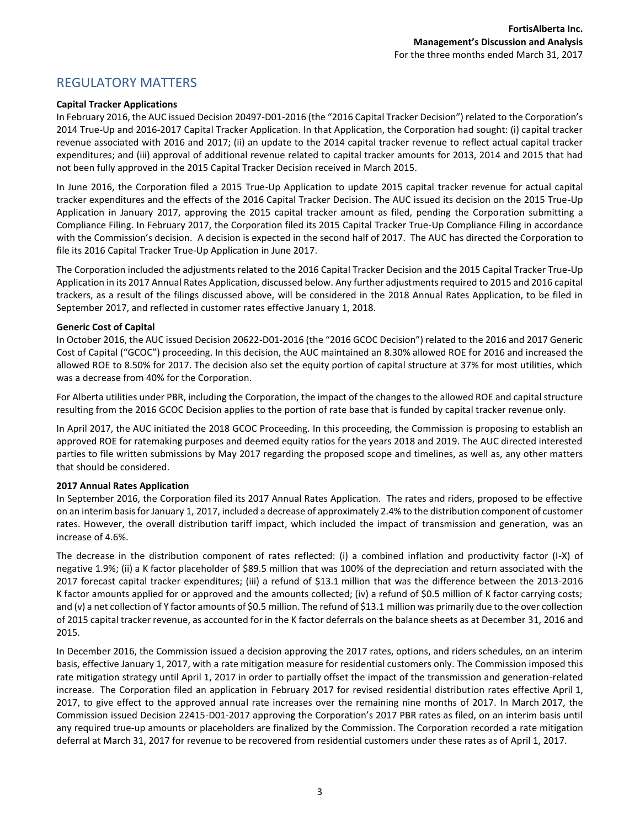### REGULATORY MATTERS

#### **Capital Tracker Applications**

In February 2016, the AUC issued Decision 20497-D01-2016 (the "2016 Capital Tracker Decision") related to the Corporation's 2014 True-Up and 2016-2017 Capital Tracker Application. In that Application, the Corporation had sought: (i) capital tracker revenue associated with 2016 and 2017; (ii) an update to the 2014 capital tracker revenue to reflect actual capital tracker expenditures; and (iii) approval of additional revenue related to capital tracker amounts for 2013, 2014 and 2015 that had not been fully approved in the 2015 Capital Tracker Decision received in March 2015.

In June 2016, the Corporation filed a 2015 True-Up Application to update 2015 capital tracker revenue for actual capital tracker expenditures and the effects of the 2016 Capital Tracker Decision. The AUC issued its decision on the 2015 True-Up Application in January 2017, approving the 2015 capital tracker amount as filed, pending the Corporation submitting a Compliance Filing. In February 2017, the Corporation filed its 2015 Capital Tracker True-Up Compliance Filing in accordance with the Commission's decision. A decision is expected in the second half of 2017. The AUC has directed the Corporation to file its 2016 Capital Tracker True-Up Application in June 2017.

The Corporation included the adjustments related to the 2016 Capital Tracker Decision and the 2015 Capital Tracker True-Up Application in its 2017 Annual Rates Application, discussed below. Any further adjustments required to 2015 and 2016 capital trackers, as a result of the filings discussed above, will be considered in the 2018 Annual Rates Application, to be filed in September 2017, and reflected in customer rates effective January 1, 2018.

#### **Generic Cost of Capital**

In October 2016, the AUC issued Decision 20622-D01-2016 (the "2016 GCOC Decision") related to the 2016 and 2017 Generic Cost of Capital ("GCOC") proceeding. In this decision, the AUC maintained an 8.30% allowed ROE for 2016 and increased the allowed ROE to 8.50% for 2017. The decision also set the equity portion of capital structure at 37% for most utilities, which was a decrease from 40% for the Corporation.

For Alberta utilities under PBR, including the Corporation, the impact of the changes to the allowed ROE and capital structure resulting from the 2016 GCOC Decision applies to the portion of rate base that is funded by capital tracker revenue only.

In April 2017, the AUC initiated the 2018 GCOC Proceeding. In this proceeding, the Commission is proposing to establish an approved ROE for ratemaking purposes and deemed equity ratios for the years 2018 and 2019. The AUC directed interested parties to file written submissions by May 2017 regarding the proposed scope and timelines, as well as, any other matters that should be considered.

#### **2017 Annual Rates Application**

In September 2016, the Corporation filed its 2017 Annual Rates Application. The rates and riders, proposed to be effective on an interim basis for January 1, 2017, included a decrease of approximately 2.4% to the distribution component of customer rates. However, the overall distribution tariff impact, which included the impact of transmission and generation, was an increase of 4.6%.

The decrease in the distribution component of rates reflected: (i) a combined inflation and productivity factor (I-X) of negative 1.9%; (ii) a K factor placeholder of \$89.5 million that was 100% of the depreciation and return associated with the 2017 forecast capital tracker expenditures; (iii) a refund of \$13.1 million that was the difference between the 2013-2016 K factor amounts applied for or approved and the amounts collected; (iv) a refund of \$0.5 million of K factor carrying costs; and (v) a net collection of Y factor amounts of \$0.5 million. The refund of \$13.1 million was primarily due to the over collection of 2015 capital tracker revenue, as accounted for in the K factor deferrals on the balance sheets as at December 31, 2016 and 2015.

In December 2016, the Commission issued a decision approving the 2017 rates, options, and riders schedules, on an interim basis, effective January 1, 2017, with a rate mitigation measure for residential customers only. The Commission imposed this rate mitigation strategy until April 1, 2017 in order to partially offset the impact of the transmission and generation-related increase. The Corporation filed an application in February 2017 for revised residential distribution rates effective April 1, 2017, to give effect to the approved annual rate increases over the remaining nine months of 2017. In March 2017, the Commission issued Decision 22415-D01-2017 approving the Corporation's 2017 PBR rates as filed, on an interim basis until any required true-up amounts or placeholders are finalized by the Commission. The Corporation recorded a rate mitigation deferral at March 31, 2017 for revenue to be recovered from residential customers under these rates as of April 1, 2017.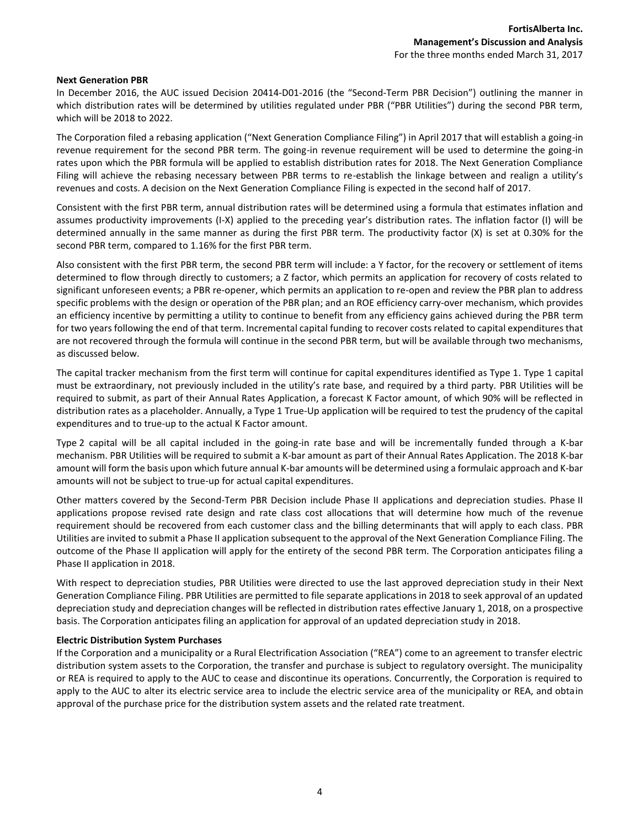#### **Next Generation PBR**

In December 2016, the AUC issued Decision 20414-D01-2016 (the "Second-Term PBR Decision") outlining the manner in which distribution rates will be determined by utilities regulated under PBR ("PBR Utilities") during the second PBR term, which will be 2018 to 2022.

The Corporation filed a rebasing application ("Next Generation Compliance Filing") in April 2017 that will establish a going-in revenue requirement for the second PBR term. The going-in revenue requirement will be used to determine the going-in rates upon which the PBR formula will be applied to establish distribution rates for 2018. The Next Generation Compliance Filing will achieve the rebasing necessary between PBR terms to re-establish the linkage between and realign a utility's revenues and costs. A decision on the Next Generation Compliance Filing is expected in the second half of 2017.

Consistent with the first PBR term, annual distribution rates will be determined using a formula that estimates inflation and assumes productivity improvements (I-X) applied to the preceding year's distribution rates. The inflation factor (I) will be determined annually in the same manner as during the first PBR term. The productivity factor (X) is set at 0.30% for the second PBR term, compared to 1.16% for the first PBR term.

Also consistent with the first PBR term, the second PBR term will include: a Y factor, for the recovery or settlement of items determined to flow through directly to customers; a Z factor, which permits an application for recovery of costs related to significant unforeseen events; a PBR re-opener, which permits an application to re-open and review the PBR plan to address specific problems with the design or operation of the PBR plan; and an ROE efficiency carry-over mechanism, which provides an efficiency incentive by permitting a utility to continue to benefit from any efficiency gains achieved during the PBR term for two years following the end of that term. Incremental capital funding to recover costs related to capital expenditures that are not recovered through the formula will continue in the second PBR term, but will be available through two mechanisms, as discussed below.

The capital tracker mechanism from the first term will continue for capital expenditures identified as Type 1. Type 1 capital must be extraordinary, not previously included in the utility's rate base, and required by a third party. PBR Utilities will be required to submit, as part of their Annual Rates Application, a forecast K Factor amount, of which 90% will be reflected in distribution rates as a placeholder. Annually, a Type 1 True-Up application will be required to test the prudency of the capital expenditures and to true-up to the actual K Factor amount.

Type 2 capital will be all capital included in the going-in rate base and will be incrementally funded through a K-bar mechanism. PBR Utilities will be required to submit a K-bar amount as part of their Annual Rates Application. The 2018 K-bar amount will form the basis upon which future annual K-bar amounts will be determined using a formulaic approach and K-bar amounts will not be subject to true-up for actual capital expenditures.

Other matters covered by the Second-Term PBR Decision include Phase II applications and depreciation studies. Phase II applications propose revised rate design and rate class cost allocations that will determine how much of the revenue requirement should be recovered from each customer class and the billing determinants that will apply to each class. PBR Utilities are invited to submit a Phase II application subsequent to the approval of the Next Generation Compliance Filing. The outcome of the Phase II application will apply for the entirety of the second PBR term. The Corporation anticipates filing a Phase II application in 2018.

With respect to depreciation studies, PBR Utilities were directed to use the last approved depreciation study in their Next Generation Compliance Filing. PBR Utilities are permitted to file separate applications in 2018 to seek approval of an updated depreciation study and depreciation changes will be reflected in distribution rates effective January 1, 2018, on a prospective basis. The Corporation anticipates filing an application for approval of an updated depreciation study in 2018.

#### **Electric Distribution System Purchases**

If the Corporation and a municipality or a Rural Electrification Association ("REA") come to an agreement to transfer electric distribution system assets to the Corporation, the transfer and purchase is subject to regulatory oversight. The municipality or REA is required to apply to the AUC to cease and discontinue its operations. Concurrently, the Corporation is required to apply to the AUC to alter its electric service area to include the electric service area of the municipality or REA, and obtain approval of the purchase price for the distribution system assets and the related rate treatment.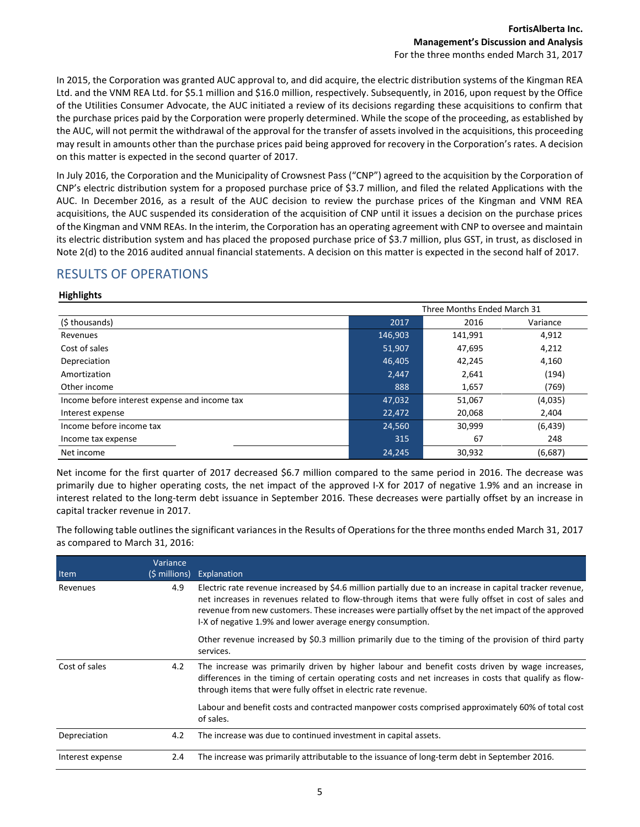In 2015, the Corporation was granted AUC approval to, and did acquire, the electric distribution systems of the Kingman REA Ltd. and the VNM REA Ltd. for \$5.1 million and \$16.0 million, respectively. Subsequently, in 2016, upon request by the Office of the Utilities Consumer Advocate, the AUC initiated a review of its decisions regarding these acquisitions to confirm that the purchase prices paid by the Corporation were properly determined. While the scope of the proceeding, as established by the AUC, will not permit the withdrawal of the approval for the transfer of assets involved in the acquisitions, this proceeding may result in amounts other than the purchase prices paid being approved for recovery in the Corporation's rates. A decision on this matter is expected in the second quarter of 2017.

In July 2016, the Corporation and the Municipality of Crowsnest Pass ("CNP") agreed to the acquisition by the Corporation of CNP's electric distribution system for a proposed purchase price of \$3.7 million, and filed the related Applications with the AUC. In December 2016, as a result of the AUC decision to review the purchase prices of the Kingman and VNM REA acquisitions, the AUC suspended its consideration of the acquisition of CNP until it issues a decision on the purchase prices of the Kingman and VNM REAs. In the interim, the Corporation has an operating agreement with CNP to oversee and maintain its electric distribution system and has placed the proposed purchase price of \$3.7 million, plus GST, in trust, as disclosed in Note 2(d) to the 2016 audited annual financial statements. A decision on this matter is expected in the second half of 2017.

# RESULTS OF OPERATIONS

#### **Highlights**

|                                               | Three Months Ended March 31 |         |          |
|-----------------------------------------------|-----------------------------|---------|----------|
| (\$ thousands)                                | 2017                        | 2016    | Variance |
| Revenues                                      | 146,903                     | 141,991 | 4,912    |
| Cost of sales                                 | 51,907                      | 47,695  | 4,212    |
| Depreciation                                  | 46,405                      | 42,245  | 4,160    |
| Amortization                                  | 2,447                       | 2,641   | (194)    |
| Other income                                  | 888                         | 1,657   | (769)    |
| Income before interest expense and income tax | 47,032                      | 51,067  | (4,035)  |
| Interest expense                              | 22,472                      | 20,068  | 2,404    |
| Income before income tax                      | 24,560                      | 30,999  | (6, 439) |
| Income tax expense                            | 315                         | 67      | 248      |
| Net income                                    | 24,245                      | 30,932  | (6,687)  |

Net income for the first quarter of 2017 decreased \$6.7 million compared to the same period in 2016. The decrease was primarily due to higher operating costs, the net impact of the approved I-X for 2017 of negative 1.9% and an increase in interest related to the long-term debt issuance in September 2016. These decreases were partially offset by an increase in capital tracker revenue in 2017.

The following table outlines the significant variances in the Results of Operations for the three months ended March 31, 2017 as compared to March 31, 2016:

| Item             | Variance<br>(\$ millions) | Explanation                                                                                                                                                                                                                                                                                                                                                                           |
|------------------|---------------------------|---------------------------------------------------------------------------------------------------------------------------------------------------------------------------------------------------------------------------------------------------------------------------------------------------------------------------------------------------------------------------------------|
| Revenues         | 4.9                       | Electric rate revenue increased by \$4.6 million partially due to an increase in capital tracker revenue,<br>net increases in revenues related to flow-through items that were fully offset in cost of sales and<br>revenue from new customers. These increases were partially offset by the net impact of the approved<br>I-X of negative 1.9% and lower average energy consumption. |
|                  |                           | Other revenue increased by \$0.3 million primarily due to the timing of the provision of third party<br>services.                                                                                                                                                                                                                                                                     |
| Cost of sales    | 4.2                       | The increase was primarily driven by higher labour and benefit costs driven by wage increases,<br>differences in the timing of certain operating costs and net increases in costs that qualify as flow-<br>through items that were fully offset in electric rate revenue.                                                                                                             |
|                  |                           | Labour and benefit costs and contracted manpower costs comprised approximately 60% of total cost<br>of sales.                                                                                                                                                                                                                                                                         |
| Depreciation     | 4.2                       | The increase was due to continued investment in capital assets.                                                                                                                                                                                                                                                                                                                       |
| Interest expense | 2.4                       | The increase was primarily attributable to the issuance of long-term debt in September 2016.                                                                                                                                                                                                                                                                                          |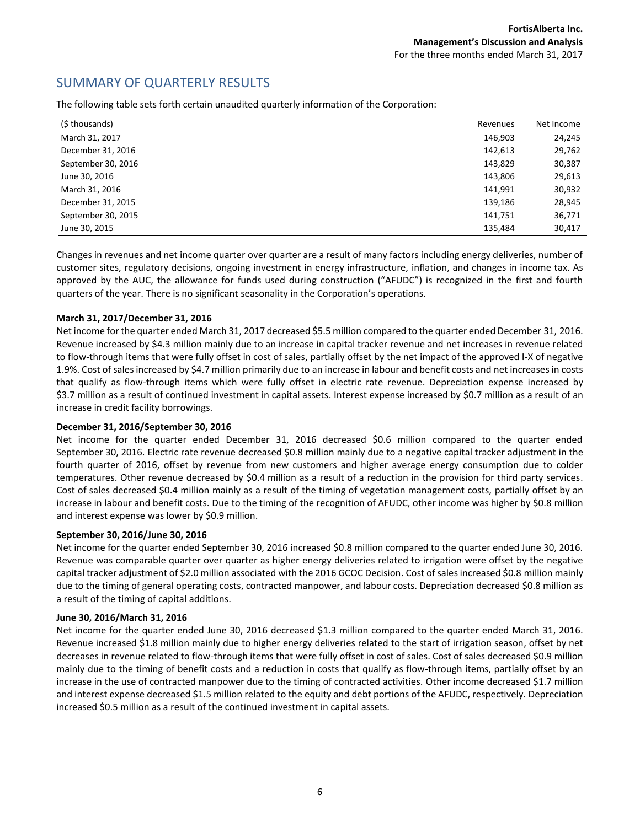### SUMMARY OF QUARTERLY RESULTS

The following table sets forth certain unaudited quarterly information of the Corporation:

| (\$ thousands)     | Revenues | Net Income |
|--------------------|----------|------------|
| March 31, 2017     | 146,903  | 24,245     |
| December 31, 2016  | 142,613  | 29,762     |
| September 30, 2016 | 143,829  | 30,387     |
| June 30, 2016      | 143,806  | 29,613     |
| March 31, 2016     | 141,991  | 30,932     |
| December 31, 2015  | 139,186  | 28,945     |
| September 30, 2015 | 141,751  | 36,771     |
| June 30, 2015      | 135,484  | 30,417     |

Changes in revenues and net income quarter over quarter are a result of many factors including energy deliveries, number of customer sites, regulatory decisions, ongoing investment in energy infrastructure, inflation, and changes in income tax. As approved by the AUC, the allowance for funds used during construction ("AFUDC") is recognized in the first and fourth quarters of the year. There is no significant seasonality in the Corporation's operations.

#### **March 31, 2017/December 31, 2016**

Net income for the quarter ended March 31, 2017 decreased \$5.5 million compared to the quarter ended December 31, 2016. Revenue increased by \$4.3 million mainly due to an increase in capital tracker revenue and net increases in revenue related to flow-through items that were fully offset in cost of sales, partially offset by the net impact of the approved I-X of negative 1.9%. Cost of sales increased by \$4.7 million primarily due to an increase in labour and benefit costs and net increases in costs that qualify as flow-through items which were fully offset in electric rate revenue. Depreciation expense increased by \$3.7 million as a result of continued investment in capital assets. Interest expense increased by \$0.7 million as a result of an increase in credit facility borrowings.

#### **December 31, 2016/September 30, 2016**

Net income for the quarter ended December 31, 2016 decreased \$0.6 million compared to the quarter ended September 30, 2016. Electric rate revenue decreased \$0.8 million mainly due to a negative capital tracker adjustment in the fourth quarter of 2016, offset by revenue from new customers and higher average energy consumption due to colder temperatures. Other revenue decreased by \$0.4 million as a result of a reduction in the provision for third party services. Cost of sales decreased \$0.4 million mainly as a result of the timing of vegetation management costs, partially offset by an increase in labour and benefit costs. Due to the timing of the recognition of AFUDC, other income was higher by \$0.8 million and interest expense was lower by \$0.9 million.

#### **September 30, 2016/June 30, 2016**

Net income for the quarter ended September 30, 2016 increased \$0.8 million compared to the quarter ended June 30, 2016. Revenue was comparable quarter over quarter as higher energy deliveries related to irrigation were offset by the negative capital tracker adjustment of \$2.0 million associated with the 2016 GCOC Decision. Cost of sales increased \$0.8 million mainly due to the timing of general operating costs, contracted manpower, and labour costs. Depreciation decreased \$0.8 million as a result of the timing of capital additions.

#### **June 30, 2016/March 31, 2016**

Net income for the quarter ended June 30, 2016 decreased \$1.3 million compared to the quarter ended March 31, 2016. Revenue increased \$1.8 million mainly due to higher energy deliveries related to the start of irrigation season, offset by net decreases in revenue related to flow-through items that were fully offset in cost of sales. Cost of sales decreased \$0.9 million mainly due to the timing of benefit costs and a reduction in costs that qualify as flow-through items, partially offset by an increase in the use of contracted manpower due to the timing of contracted activities. Other income decreased \$1.7 million and interest expense decreased \$1.5 million related to the equity and debt portions of the AFUDC, respectively. Depreciation increased \$0.5 million as a result of the continued investment in capital assets.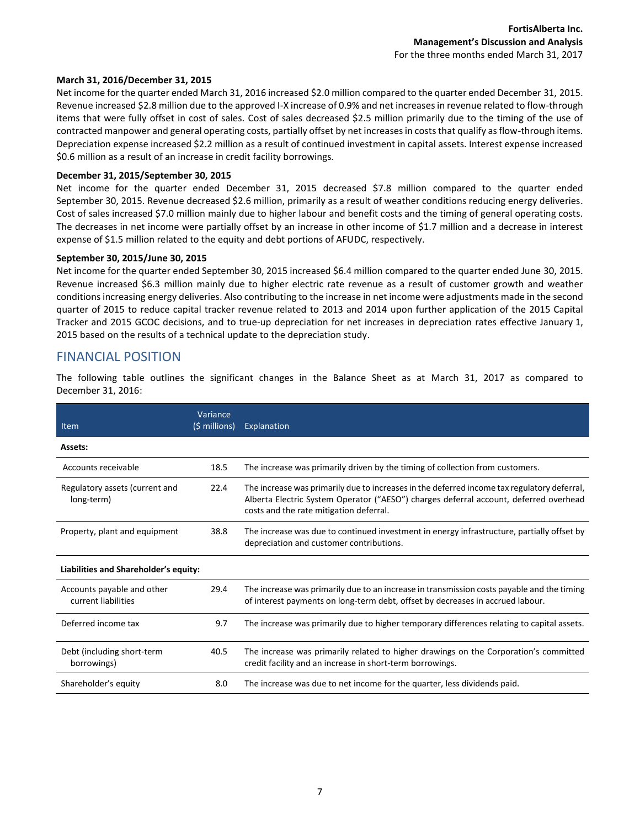#### **March 31, 2016/December 31, 2015**

Net income for the quarter ended March 31, 2016 increased \$2.0 million compared to the quarter ended December 31, 2015. Revenue increased \$2.8 million due to the approved I-X increase of 0.9% and net increases in revenue related to flow-through items that were fully offset in cost of sales. Cost of sales decreased \$2.5 million primarily due to the timing of the use of contracted manpower and general operating costs, partially offset by net increases in costs that qualify as flow-through items. Depreciation expense increased \$2.2 million as a result of continued investment in capital assets. Interest expense increased \$0.6 million as a result of an increase in credit facility borrowings.

#### **December 31, 2015/September 30, 2015**

Net income for the quarter ended December 31, 2015 decreased \$7.8 million compared to the quarter ended September 30, 2015. Revenue decreased \$2.6 million, primarily as a result of weather conditions reducing energy deliveries. Cost of sales increased \$7.0 million mainly due to higher labour and benefit costs and the timing of general operating costs. The decreases in net income were partially offset by an increase in other income of \$1.7 million and a decrease in interest expense of \$1.5 million related to the equity and debt portions of AFUDC, respectively.

#### **September 30, 2015/June 30, 2015**

Net income for the quarter ended September 30, 2015 increased \$6.4 million compared to the quarter ended June 30, 2015. Revenue increased \$6.3 million mainly due to higher electric rate revenue as a result of customer growth and weather conditions increasing energy deliveries. Also contributing to the increase in net income were adjustments made in the second quarter of 2015 to reduce capital tracker revenue related to 2013 and 2014 upon further application of the 2015 Capital Tracker and 2015 GCOC decisions, and to true-up depreciation for net increases in depreciation rates effective January 1, 2015 based on the results of a technical update to the depreciation study.

### FINANCIAL POSITION

The following table outlines the significant changes in the Balance Sheet as at March 31, 2017 as compared to December 31, 2016:

| Item                                              | Variance<br>(\$ millions) | Explanation                                                                                                                                                                                                                     |
|---------------------------------------------------|---------------------------|---------------------------------------------------------------------------------------------------------------------------------------------------------------------------------------------------------------------------------|
| Assets:                                           |                           |                                                                                                                                                                                                                                 |
| Accounts receivable                               | 18.5                      | The increase was primarily driven by the timing of collection from customers.                                                                                                                                                   |
| Regulatory assets (current and<br>long-term)      | 22.4                      | The increase was primarily due to increases in the deferred income tax regulatory deferral,<br>Alberta Electric System Operator ("AESO") charges deferral account, deferred overhead<br>costs and the rate mitigation deferral. |
| Property, plant and equipment                     | 38.8                      | The increase was due to continued investment in energy infrastructure, partially offset by<br>depreciation and customer contributions.                                                                                          |
| Liabilities and Shareholder's equity:             |                           |                                                                                                                                                                                                                                 |
| Accounts payable and other<br>current liabilities | 29.4                      | The increase was primarily due to an increase in transmission costs payable and the timing<br>of interest payments on long-term debt, offset by decreases in accrued labour.                                                    |
| Deferred income tax                               | 9.7                       | The increase was primarily due to higher temporary differences relating to capital assets.                                                                                                                                      |
| Debt (including short-term<br>borrowings)         | 40.5                      | The increase was primarily related to higher drawings on the Corporation's committed<br>credit facility and an increase in short-term borrowings.                                                                               |
| Shareholder's equity                              | 8.0                       | The increase was due to net income for the quarter, less dividends paid.                                                                                                                                                        |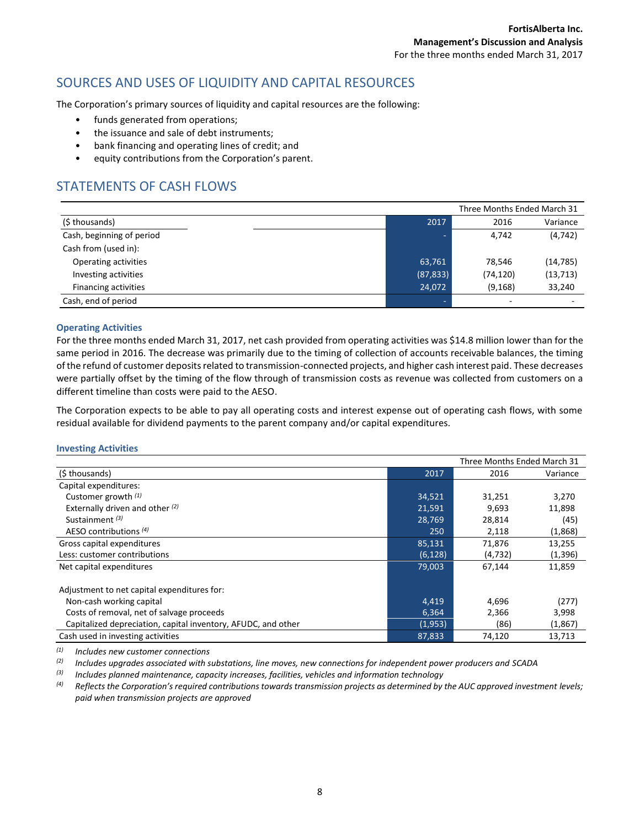### SOURCES AND USES OF LIQUIDITY AND CAPITAL RESOURCES

The Corporation's primary sources of liquidity and capital resources are the following:

- funds generated from operations;
- the issuance and sale of debt instruments;
- bank financing and operating lines of credit; and
- equity contributions from the Corporation's parent.

### STATEMENTS OF CASH FLOWS

|                             |           | Three Months Ended March 31 |           |
|-----------------------------|-----------|-----------------------------|-----------|
| (\$ thousands)              | 2017      | 2016                        | Variance  |
| Cash, beginning of period   |           | 4,742                       | (4, 742)  |
| Cash from (used in):        |           |                             |           |
| Operating activities        | 63,761    | 78.546                      | (14, 785) |
| Investing activities        | (87, 833) | (74, 120)                   | (13, 713) |
| <b>Financing activities</b> | 24,072    | (9, 168)                    | 33,240    |
| Cash, end of period         |           | $\overline{\phantom{a}}$    |           |

#### **Operating Activities**

For the three months ended March 31, 2017, net cash provided from operating activities was \$14.8 million lower than for the same period in 2016. The decrease was primarily due to the timing of collection of accounts receivable balances, the timing of the refund of customer deposits related to transmission-connected projects, and higher cash interest paid. These decreases were partially offset by the timing of the flow through of transmission costs as revenue was collected from customers on a different timeline than costs were paid to the AESO.

The Corporation expects to be able to pay all operating costs and interest expense out of operating cash flows, with some residual available for dividend payments to the parent company and/or capital expenditures.

#### **Investing Activities**

|                                                               |          | Three Months Ended March 31 |          |
|---------------------------------------------------------------|----------|-----------------------------|----------|
| (\$thousands)                                                 | 2017     | 2016                        | Variance |
| Capital expenditures:                                         |          |                             |          |
| Customer growth $(1)$                                         | 34,521   | 31,251                      | 3,270    |
| Externally driven and other $(2)$                             | 21,591   | 9,693                       | 11,898   |
| Sustainment $(3)$                                             | 28,769   | 28,814                      | (45)     |
| AESO contributions $(4)$                                      | 250      | 2,118                       | (1,868)  |
| Gross capital expenditures                                    | 85,131   | 71,876                      | 13,255   |
| Less: customer contributions                                  | (6, 128) | (4, 732)                    | (1, 396) |
| Net capital expenditures                                      | 79,003   | 67,144                      | 11,859   |
| Adjustment to net capital expenditures for:                   |          |                             |          |
| Non-cash working capital                                      | 4,419    | 4,696                       | (277)    |
| Costs of removal, net of salvage proceeds                     | 6,364    | 2,366                       | 3,998    |
| Capitalized depreciation, capital inventory, AFUDC, and other | (1,953)  | (86)                        | (1,867)  |
| Cash used in investing activities                             | 87,833   | 74,120                      | 13,713   |

*(1) Includes new customer connections*

*(2) Includes upgrades associated with substations, line moves, new connections for independent power producers and SCADA*

*(3) Includes planned maintenance, capacity increases, facilities, vehicles and information technology*

<sup>(4)</sup> Reflects the Corporation's required contributions towards transmission projects as determined by the AUC approved investment levels; *paid when transmission projects are approved*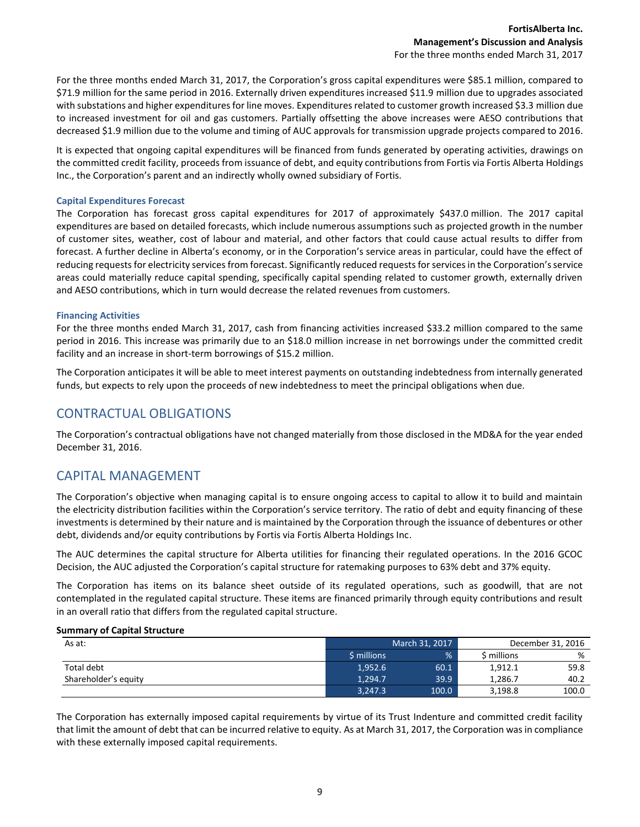For the three months ended March 31, 2017, the Corporation's gross capital expenditures were \$85.1 million, compared to \$71.9 million for the same period in 2016. Externally driven expenditures increased \$11.9 million due to upgrades associated with substations and higher expenditures for line moves. Expenditures related to customer growth increased \$3.3 million due to increased investment for oil and gas customers. Partially offsetting the above increases were AESO contributions that decreased \$1.9 million due to the volume and timing of AUC approvals for transmission upgrade projects compared to 2016.

It is expected that ongoing capital expenditures will be financed from funds generated by operating activities, drawings on the committed credit facility, proceeds from issuance of debt, and equity contributions from Fortis via Fortis Alberta Holdings Inc., the Corporation's parent and an indirectly wholly owned subsidiary of Fortis.

#### **Capital Expenditures Forecast**

The Corporation has forecast gross capital expenditures for 2017 of approximately \$437.0 million. The 2017 capital expenditures are based on detailed forecasts, which include numerous assumptions such as projected growth in the number of customer sites, weather, cost of labour and material, and other factors that could cause actual results to differ from forecast. A further decline in Alberta's economy, or in the Corporation's service areas in particular, could have the effect of reducing requests for electricity services from forecast. Significantly reduced requests for services in the Corporation's service areas could materially reduce capital spending, specifically capital spending related to customer growth, externally driven and AESO contributions, which in turn would decrease the related revenues from customers.

#### **Financing Activities**

For the three months ended March 31, 2017, cash from financing activities increased \$33.2 million compared to the same period in 2016. This increase was primarily due to an \$18.0 million increase in net borrowings under the committed credit facility and an increase in short-term borrowings of \$15.2 million.

The Corporation anticipates it will be able to meet interest payments on outstanding indebtedness from internally generated funds, but expects to rely upon the proceeds of new indebtedness to meet the principal obligations when due.

### CONTRACTUAL OBLIGATIONS

The Corporation's contractual obligations have not changed materially from those disclosed in the MD&A for the year ended December 31, 2016.

### CAPITAL MANAGEMENT

The Corporation's objective when managing capital is to ensure ongoing access to capital to allow it to build and maintain the electricity distribution facilities within the Corporation's service territory. The ratio of debt and equity financing of these investments is determined by their nature and is maintained by the Corporation through the issuance of debentures or other debt, dividends and/or equity contributions by Fortis via Fortis Alberta Holdings Inc.

The AUC determines the capital structure for Alberta utilities for financing their regulated operations. In the 2016 GCOC Decision, the AUC adjusted the Corporation's capital structure for ratemaking purposes to 63% debt and 37% equity.

The Corporation has items on its balance sheet outside of its regulated operations, such as goodwill, that are not contemplated in the regulated capital structure. These items are financed primarily through equity contributions and result in an overall ratio that differs from the regulated capital structure.

#### **Summary of Capital Structure**

| As at:               | March 31, 2017    |       | December 31, 2016 |       |
|----------------------|-------------------|-------|-------------------|-------|
|                      | <b>S</b> millions | %     | \$ millions       | %     |
| Total debt           | 1,952.6           | 60.1  | 1,912.1           | 59.8  |
| Shareholder's equity | 1.294.7           | 39.9  | 1.286.7           | 40.2  |
|                      | 3,247.3           | 100.0 | 3,198.8           | 100.0 |

The Corporation has externally imposed capital requirements by virtue of its Trust Indenture and committed credit facility that limit the amount of debt that can be incurred relative to equity. As at March 31, 2017, the Corporation was in compliance with these externally imposed capital requirements.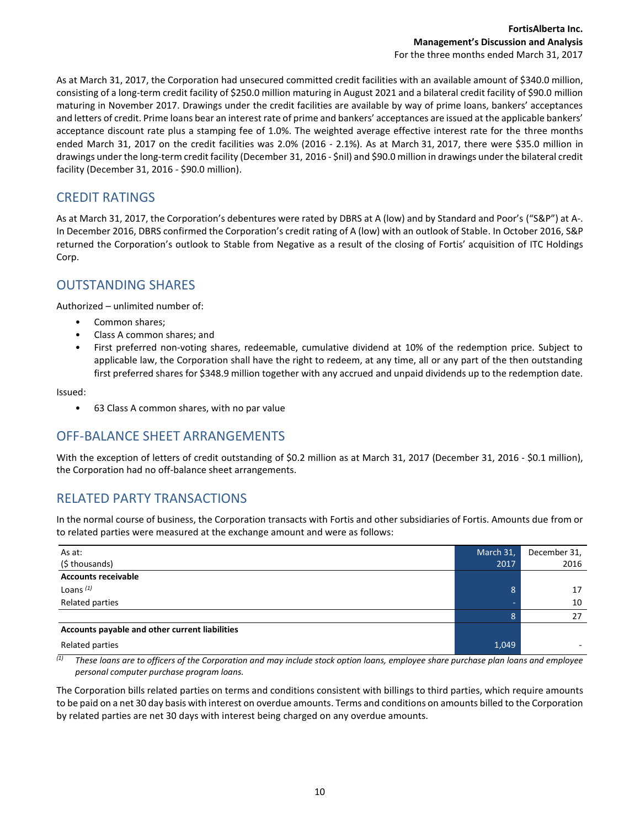As at March 31, 2017, the Corporation had unsecured committed credit facilities with an available amount of \$340.0 million, consisting of a long-term credit facility of \$250.0 million maturing in August 2021 and a bilateral credit facility of \$90.0 million maturing in November 2017. Drawings under the credit facilities are available by way of prime loans, bankers' acceptances and letters of credit. Prime loans bear an interest rate of prime and bankers' acceptances are issued at the applicable bankers' acceptance discount rate plus a stamping fee of 1.0%. The weighted average effective interest rate for the three months ended March 31, 2017 on the credit facilities was 2.0% (2016 - 2.1%). As at March 31, 2017, there were \$35.0 million in drawings under the long-term credit facility (December 31, 2016 - \$nil) and \$90.0 million in drawings under the bilateral credit facility (December 31, 2016 - \$90.0 million).

# CREDIT RATINGS

As at March 31, 2017, the Corporation's debentures were rated by DBRS at A (low) and by Standard and Poor's ("S&P") at A-. In December 2016, DBRS confirmed the Corporation's credit rating of A (low) with an outlook of Stable. In October 2016, S&P returned the Corporation's outlook to Stable from Negative as a result of the closing of Fortis' acquisition of ITC Holdings Corp.

### OUTSTANDING SHARES

Authorized – unlimited number of:

- Common shares;
- Class A common shares; and
- First preferred non-voting shares, redeemable, cumulative dividend at 10% of the redemption price. Subject to applicable law, the Corporation shall have the right to redeem, at any time, all or any part of the then outstanding first preferred shares for \$348.9 million together with any accrued and unpaid dividends up to the redemption date.

Issued:

• 63 Class A common shares, with no par value

# OFF-BALANCE SHEET ARRANGEMENTS

With the exception of letters of credit outstanding of \$0.2 million as at March 31, 2017 (December 31, 2016 - \$0.1 million), the Corporation had no off-balance sheet arrangements.

# RELATED PARTY TRANSACTIONS

In the normal course of business, the Corporation transacts with Fortis and other subsidiaries of Fortis. Amounts due from or to related parties were measured at the exchange amount and were as follows:

| As at:<br>(\$ thousands)                       | March 31,<br>2017 | December 31,<br>2016 |
|------------------------------------------------|-------------------|----------------------|
| <b>Accounts receivable</b>                     |                   |                      |
| Loans $(1)$                                    | 8                 | 17                   |
| Related parties                                | -                 | 10                   |
|                                                | 8                 | 27                   |
| Accounts payable and other current liabilities |                   |                      |
| Related parties                                | 1,049             |                      |

 $\overline{u}$  These loans are to officers of the Corporation and may include stock option loans, employee share purchase plan loans and employee *personal computer purchase program loans.*

The Corporation bills related parties on terms and conditions consistent with billings to third parties, which require amounts to be paid on a net 30 day basis with interest on overdue amounts. Terms and conditions on amounts billed to the Corporation by related parties are net 30 days with interest being charged on any overdue amounts.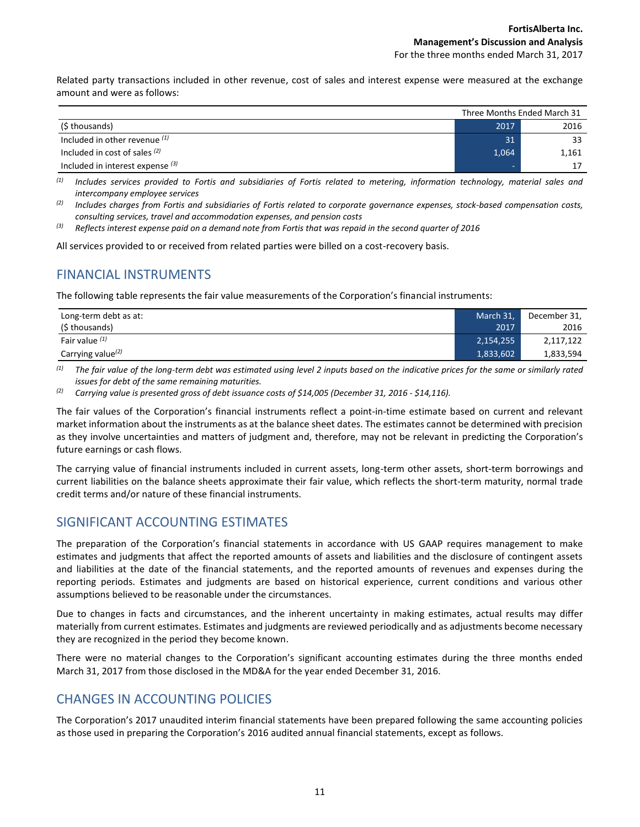Related party transactions included in other revenue, cost of sales and interest expense were measured at the exchange amount and were as follows:

|                                    | Three Months Ended March 31 |       |
|------------------------------------|-----------------------------|-------|
| (\$ thousands)                     | 2017                        | 2016  |
| Included in other revenue $(1)$    | 31                          | 33    |
| Included in cost of sales $(2)$    | 1,064                       | 1,161 |
| Included in interest expense $(3)$ | -                           | 17    |

*(1) Includes services provided to Fortis and subsidiaries of Fortis related to metering, information technology, material sales and intercompany employee services*

*(2) Includes charges from Fortis and subsidiaries of Fortis related to corporate governance expenses, stock-based compensation costs, consulting services, travel and accommodation expenses, and pension costs*

*(3) Reflects interest expense paid on a demand note from Fortis that was repaid in the second quarter of 2016*

All services provided to or received from related parties were billed on a cost-recovery basis.

### FINANCIAL INSTRUMENTS

The following table represents the fair value measurements of the Corporation's financial instruments:

| Long-term debt as at:         | March 31, | December 31, |
|-------------------------------|-----------|--------------|
| (\$ thousands)                | 2017      | 2016         |
| Fair value $(1)$              | 2,154,255 | 2,117,122    |
| Carrying value <sup>(2)</sup> | 1,833,602 | 1,833,594    |

*(1) The fair value of the long-term debt was estimated using level 2 inputs based on the indicative prices for the same or similarly rated issues for debt of the same remaining maturities.*

*(2) Carrying value is presented gross of debt issuance costs of \$14,005 (December 31, 2016 - \$14,116).*

The fair values of the Corporation's financial instruments reflect a point-in-time estimate based on current and relevant market information about the instruments as at the balance sheet dates. The estimates cannot be determined with precision as they involve uncertainties and matters of judgment and, therefore, may not be relevant in predicting the Corporation's future earnings or cash flows.

The carrying value of financial instruments included in current assets, long-term other assets, short-term borrowings and current liabilities on the balance sheets approximate their fair value, which reflects the short-term maturity, normal trade credit terms and/or nature of these financial instruments.

### SIGNIFICANT ACCOUNTING ESTIMATES

The preparation of the Corporation's financial statements in accordance with US GAAP requires management to make estimates and judgments that affect the reported amounts of assets and liabilities and the disclosure of contingent assets and liabilities at the date of the financial statements, and the reported amounts of revenues and expenses during the reporting periods. Estimates and judgments are based on historical experience, current conditions and various other assumptions believed to be reasonable under the circumstances.

Due to changes in facts and circumstances, and the inherent uncertainty in making estimates, actual results may differ materially from current estimates. Estimates and judgments are reviewed periodically and as adjustments become necessary they are recognized in the period they become known.

There were no material changes to the Corporation's significant accounting estimates during the three months ended March 31, 2017 from those disclosed in the MD&A for the year ended December 31, 2016.

### CHANGES IN ACCOUNTING POLICIES

The Corporation's 2017 unaudited interim financial statements have been prepared following the same accounting policies as those used in preparing the Corporation's 2016 audited annual financial statements, except as follows.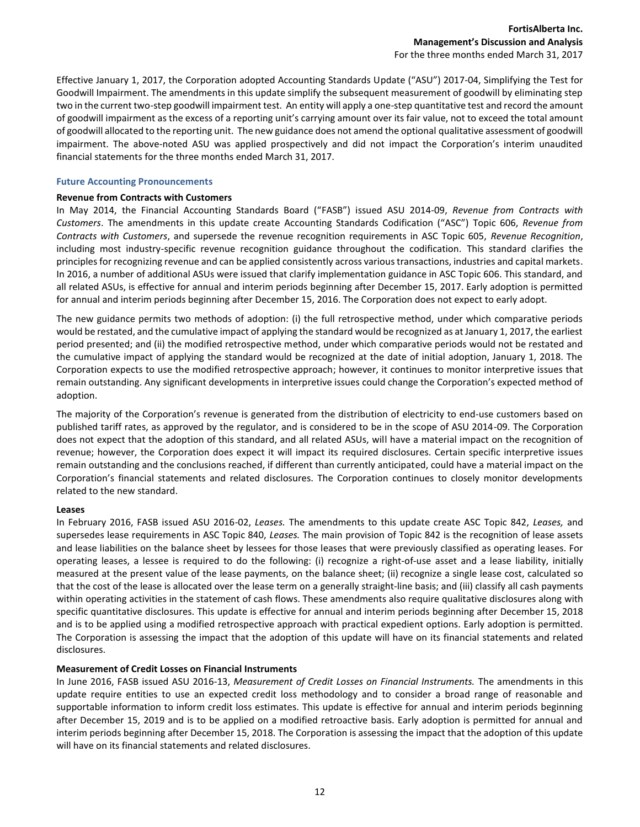Effective January 1, 2017, the Corporation adopted Accounting Standards Update ("ASU") 2017-04, Simplifying the Test for Goodwill Impairment. The amendments in this update simplify the subsequent measurement of goodwill by eliminating step two in the current two-step goodwill impairment test. An entity will apply a one-step quantitative test and record the amount of goodwill impairment as the excess of a reporting unit's carrying amount over its fair value, not to exceed the total amount of goodwill allocated to the reporting unit. The new guidance does not amend the optional qualitative assessment of goodwill impairment. The above-noted ASU was applied prospectively and did not impact the Corporation's interim unaudited financial statements for the three months ended March 31, 2017.

#### **Future Accounting Pronouncements**

#### **Revenue from Contracts with Customers**

In May 2014, the Financial Accounting Standards Board ("FASB") issued ASU 2014-09, *Revenue from Contracts with Customers*. The amendments in this update create Accounting Standards Codification ("ASC") Topic 606, *Revenue from Contracts with Customers*, and supersede the revenue recognition requirements in ASC Topic 605, *Revenue Recognition*, including most industry-specific revenue recognition guidance throughout the codification. This standard clarifies the principles for recognizing revenue and can be applied consistently across various transactions, industries and capital markets. In 2016, a number of additional ASUs were issued that clarify implementation guidance in ASC Topic 606. This standard, and all related ASUs, is effective for annual and interim periods beginning after December 15, 2017. Early adoption is permitted for annual and interim periods beginning after December 15, 2016. The Corporation does not expect to early adopt.

The new guidance permits two methods of adoption: (i) the full retrospective method, under which comparative periods would be restated, and the cumulative impact of applying the standard would be recognized as at January 1, 2017, the earliest period presented; and (ii) the modified retrospective method, under which comparative periods would not be restated and the cumulative impact of applying the standard would be recognized at the date of initial adoption, January 1, 2018. The Corporation expects to use the modified retrospective approach; however, it continues to monitor interpretive issues that remain outstanding. Any significant developments in interpretive issues could change the Corporation's expected method of adoption.

The majority of the Corporation's revenue is generated from the distribution of electricity to end-use customers based on published tariff rates, as approved by the regulator, and is considered to be in the scope of ASU 2014-09. The Corporation does not expect that the adoption of this standard, and all related ASUs, will have a material impact on the recognition of revenue; however, the Corporation does expect it will impact its required disclosures. Certain specific interpretive issues remain outstanding and the conclusions reached, if different than currently anticipated, could have a material impact on the Corporation's financial statements and related disclosures. The Corporation continues to closely monitor developments related to the new standard.

#### **Leases**

In February 2016, FASB issued ASU 2016-02, *Leases.* The amendments to this update create ASC Topic 842, *Leases,* and supersedes lease requirements in ASC Topic 840, *Leases.* The main provision of Topic 842 is the recognition of lease assets and lease liabilities on the balance sheet by lessees for those leases that were previously classified as operating leases. For operating leases, a lessee is required to do the following: (i) recognize a right-of-use asset and a lease liability, initially measured at the present value of the lease payments, on the balance sheet; (ii) recognize a single lease cost, calculated so that the cost of the lease is allocated over the lease term on a generally straight-line basis; and (iii) classify all cash payments within operating activities in the statement of cash flows. These amendments also require qualitative disclosures along with specific quantitative disclosures. This update is effective for annual and interim periods beginning after December 15, 2018 and is to be applied using a modified retrospective approach with practical expedient options. Early adoption is permitted. The Corporation is assessing the impact that the adoption of this update will have on its financial statements and related disclosures.

#### **Measurement of Credit Losses on Financial Instruments**

In June 2016, FASB issued ASU 2016-13, *Measurement of Credit Losses on Financial Instruments.* The amendments in this update require entities to use an expected credit loss methodology and to consider a broad range of reasonable and supportable information to inform credit loss estimates. This update is effective for annual and interim periods beginning after December 15, 2019 and is to be applied on a modified retroactive basis. Early adoption is permitted for annual and interim periods beginning after December 15, 2018. The Corporation is assessing the impact that the adoption of this update will have on its financial statements and related disclosures.